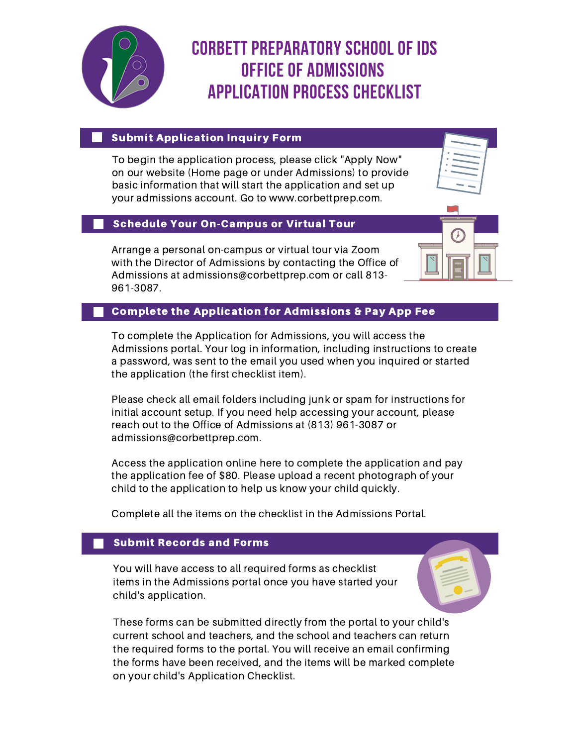

# **Corbett Preparatory School of IDS Office of Admissions Application Process Checklist**

#### **Submit Application Inquiry Form**

To begin the application process, please click "Apply Now" on our website (Home page or under Admissions) to provide basic information that will start the application and set up your admissions account. Go to www.corbettprep.com.

#### Schedule Your On-Campus or Virtual Tour

Arrange a personal on-campus or virtual tour via Zoom with the Director of Admissions by contacting the Office of Admissions at admissions@corbettprep.com or call 813- 961-3087.



## Complete the Application for Admissions & Pay App Fee

To complete the Application for Admissions, you will access the Admissions portal. Your log in information, including instructions to create a password, was sent to the email you used when you inquired or started the application (the first checklist item).

Please check all email folders including junk or spam for instructions for initial account setup. If you need help accessing your account, please reach out to the Office of Admissions at (813) 961-3087 or admissions@corbettprep.com.

Access the application online here to complete the application and pay the application fee of \$80. Please upload a recent photograph of your child to the application to help us know your child quickly.

Complete all the items on the checklist in the Admissions Portal.

#### Submit Records and Forms

You will have access to all required forms as checklist items in the Admissions portal once you have started your child's application.

These forms can be submitted directly from the portal to your child's current school and teachers, and the school and teachers can return the required forms to the portal. You will receive an email confirming the forms have been received, and the items will be marked complete on your child's Application Checklist.